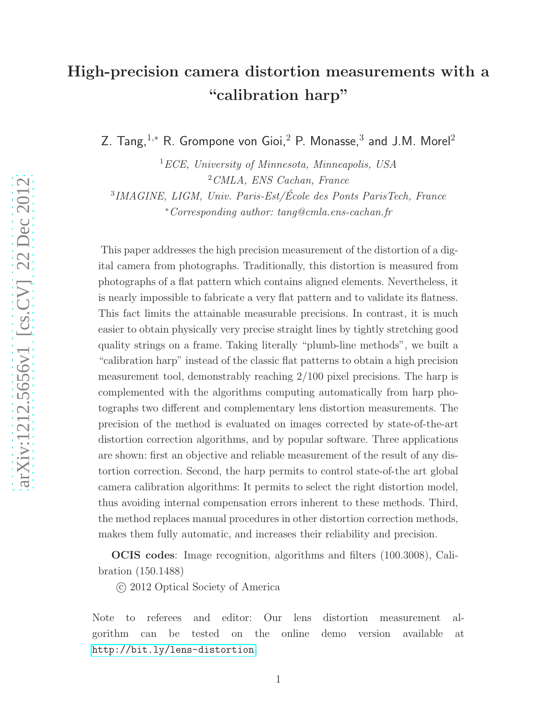# High-precision camera distortion measurements with a "calibration harp"

Z. Tang, $^{1,\ast}$  R. Grompone von Gioi, $^2$  P. Monasse, $^3$  and J.M. Morel $^2$ 

<sup>1</sup>*ECE, University of Minnesota, Minneapolis, USA* <sup>2</sup>*CMLA, ENS Cachan, France*

3 *IMAGINE, LIGM, Univ. Paris-Est/Ecole des Ponts ParisTech, France ´* <sup>∗</sup>*Corresponding author: tang@cmla.ens-cachan.fr*

This paper addresses the high precision measurement of the distortion of a digital camera from photographs. Traditionally, this distortion is measured from photographs of a flat pattern which contains aligned elements. Nevertheless, it is nearly impossible to fabricate a very flat pattern and to validate its flatness. This fact limits the attainable measurable precisions. In contrast, it is much easier to obtain physically very precise straight lines by tightly stretching good quality strings on a frame. Taking literally "plumb-line methods", we built a "calibration harp" instead of the classic flat patterns to obtain a high precision measurement tool, demonstrably reaching 2/100 pixel precisions. The harp is complemented with the algorithms computing automatically from harp photographs two different and complementary lens distortion measurements. The precision of the method is evaluated on images corrected by state-of-the-art distortion correction algorithms, and by popular software. Three applications are shown: first an objective and reliable measurement of the result of any distortion correction. Second, the harp permits to control state-of-the art global camera calibration algorithms: It permits to select the right distortion model, thus avoiding internal compensation errors inherent to these methods. Third, the method replaces manual procedures in other distortion correction methods, makes them fully automatic, and increases their reliability and precision.

OCIS codes: Image recognition, algorithms and filters (100.3008), Calibration (150.1488)

c 2012 Optical Society of America

Note to referees and editor: Our lens distortion measurement algorithm can be tested on the online demo version available at <http://bit.ly/lens-distortion>.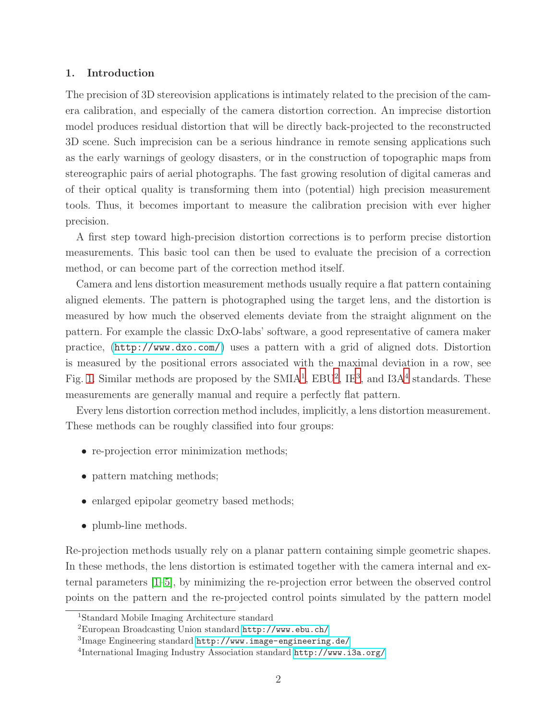# 1. Introduction

The precision of 3D stereovision applications is intimately related to the precision of the camera calibration, and especially of the camera distortion correction. An imprecise distortion model produces residual distortion that will be directly back-projected to the reconstructed 3D scene. Such imprecision can be a serious hindrance in remote sensing applications such as the early warnings of geology disasters, or in the construction of topographic maps from stereographic pairs of aerial photographs. The fast growing resolution of digital cameras and of their optical quality is transforming them into (potential) high precision measurement tools. Thus, it becomes important to measure the calibration precision with ever higher precision.

A first step toward high-precision distortion corrections is to perform precise distortion measurements. This basic tool can then be used to evaluate the precision of a correction method, or can become part of the correction method itself.

Camera and lens distortion measurement methods usually require a flat pattern containing aligned elements. The pattern is photographed using the target lens, and the distortion is measured by how much the observed elements deviate from the straight alignment on the pattern. For example the classic DxO-labs' software, a good representative of camera maker practice, (<http://www.dxo.com/>) uses a pattern with a grid of aligned dots. Distortion is measured by the positional errors associated with the maximal deviation in a row, see Fig. [1.](#page-2-0) Similar methods are proposed by the  $SMIA<sup>1</sup>$  $SMIA<sup>1</sup>$  $SMIA<sup>1</sup>$ ,  $EBU<sup>2</sup>$  $EBU<sup>2</sup>$  $EBU<sup>2</sup>$ ,  $IE<sup>3</sup>$  $IE<sup>3</sup>$  $IE<sup>3</sup>$ , and  $I3A<sup>4</sup>$  $I3A<sup>4</sup>$  $I3A<sup>4</sup>$  standards. These measurements are generally manual and require a perfectly flat pattern.

Every lens distortion correction method includes, implicitly, a lens distortion measurement. These methods can be roughly classified into four groups:

- re-projection error minimization methods;
- pattern matching methods;
- enlarged epipolar geometry based methods;
- plumb-line methods.

Re-projection methods usually rely on a planar pattern containing simple geometric shapes. In these methods, the lens distortion is estimated together with the camera internal and external parameters [\[1](#page-21-0)[–5\]](#page-21-1), by minimizing the re-projection error between the observed control points on the pattern and the re-projected control points simulated by the pattern model

<sup>1</sup>Standard Mobile Imaging Architecture standard

<span id="page-1-0"></span><sup>2</sup>European Broadcasting Union standard <http://www.ebu.ch/>

<span id="page-1-1"></span> ${}^{3}$ Image Engineering standard  ${\tt http://www.inage-engineering.de/}$ 

<span id="page-1-3"></span><span id="page-1-2"></span><sup>4</sup> International Imaging Industry Association standard <http://www.i3a.org/>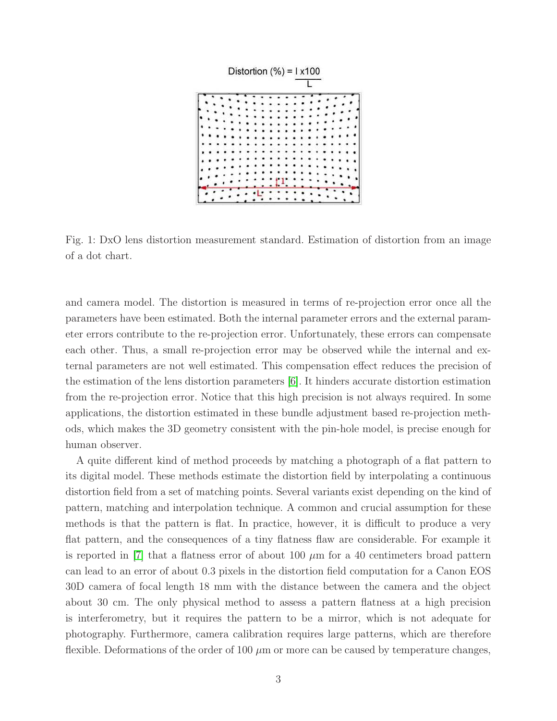<span id="page-2-0"></span>

Fig. 1: DxO lens distortion measurement standard. Estimation of distortion from an image of a dot chart.

and camera model. The distortion is measured in terms of re-projection error once all the parameters have been estimated. Both the internal parameter errors and the external parameter errors contribute to the re-projection error. Unfortunately, these errors can compensate each other. Thus, a small re-projection error may be observed while the internal and external parameters are not well estimated. This compensation effect reduces the precision of the estimation of the lens distortion parameters [\[6\]](#page-21-2). It hinders accurate distortion estimation from the re-projection error. Notice that this high precision is not always required. In some applications, the distortion estimated in these bundle adjustment based re-projection methods, which makes the 3D geometry consistent with the pin-hole model, is precise enough for human observer.

A quite different kind of method proceeds by matching a photograph of a flat pattern to its digital model. These methods estimate the distortion field by interpolating a continuous distortion field from a set of matching points. Several variants exist depending on the kind of pattern, matching and interpolation technique. A common and crucial assumption for these methods is that the pattern is flat. In practice, however, it is difficult to produce a very flat pattern, and the consequences of a tiny flatness flaw are considerable. For example it is reported in [\[7\]](#page-21-3) that a flatness error of about 100  $\mu$ m for a 40 centimeters broad pattern can lead to an error of about 0.3 pixels in the distortion field computation for a Canon EOS 30D camera of focal length 18 mm with the distance between the camera and the object about 30 cm. The only physical method to assess a pattern flatness at a high precision is interferometry, but it requires the pattern to be a mirror, which is not adequate for photography. Furthermore, camera calibration requires large patterns, which are therefore flexible. Deformations of the order of 100  $\mu$ m or more can be caused by temperature changes,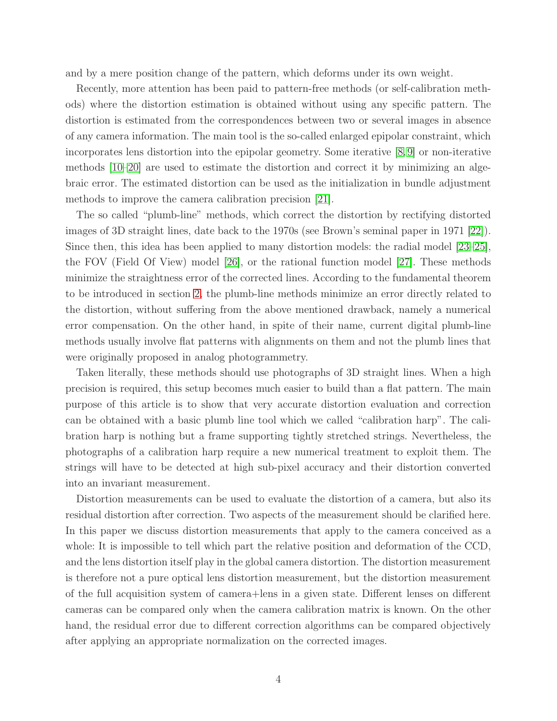and by a mere position change of the pattern, which deforms under its own weight.

Recently, more attention has been paid to pattern-free methods (or self-calibration methods) where the distortion estimation is obtained without using any specific pattern. The distortion is estimated from the correspondences between two or several images in absence of any camera information. The main tool is the so-called enlarged epipolar constraint, which incorporates lens distortion into the epipolar geometry. Some iterative [\[8,](#page-21-4)[9\]](#page-21-5) or non-iterative methods [\[10–](#page-21-6)[20\]](#page-22-0) are used to estimate the distortion and correct it by minimizing an algebraic error. The estimated distortion can be used as the initialization in bundle adjustment methods to improve the camera calibration precision [\[21\]](#page-22-1).

The so called "plumb-line" methods, which correct the distortion by rectifying distorted images of 3D straight lines, date back to the 1970s (see Brown's seminal paper in 1971 [\[22\]](#page-22-2)). Since then, this idea has been applied to many distortion models: the radial model [\[23–](#page-22-3)[25\]](#page-22-4), the FOV (Field Of View) model [\[26\]](#page-22-5), or the rational function model [\[27\]](#page-22-6). These methods minimize the straightness error of the corrected lines. According to the fundamental theorem to be introduced in section [2,](#page-4-0) the plumb-line methods minimize an error directly related to the distortion, without suffering from the above mentioned drawback, namely a numerical error compensation. On the other hand, in spite of their name, current digital plumb-line methods usually involve flat patterns with alignments on them and not the plumb lines that were originally proposed in analog photogrammetry.

Taken literally, these methods should use photographs of 3D straight lines. When a high precision is required, this setup becomes much easier to build than a flat pattern. The main purpose of this article is to show that very accurate distortion evaluation and correction can be obtained with a basic plumb line tool which we called "calibration harp". The calibration harp is nothing but a frame supporting tightly stretched strings. Nevertheless, the photographs of a calibration harp require a new numerical treatment to exploit them. The strings will have to be detected at high sub-pixel accuracy and their distortion converted into an invariant measurement.

Distortion measurements can be used to evaluate the distortion of a camera, but also its residual distortion after correction. Two aspects of the measurement should be clarified here. In this paper we discuss distortion measurements that apply to the camera conceived as a whole: It is impossible to tell which part the relative position and deformation of the CCD, and the lens distortion itself play in the global camera distortion. The distortion measurement is therefore not a pure optical lens distortion measurement, but the distortion measurement of the full acquisition system of camera+lens in a given state. Different lenses on different cameras can be compared only when the camera calibration matrix is known. On the other hand, the residual error due to different correction algorithms can be compared objectively after applying an appropriate normalization on the corrected images.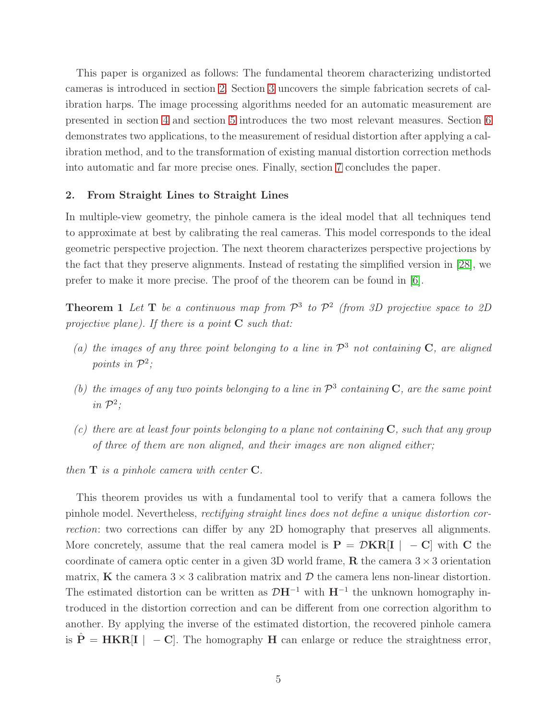This paper is organized as follows: The fundamental theorem characterizing undistorted cameras is introduced in section [2.](#page-4-0) Section [3](#page-5-0) uncovers the simple fabrication secrets of calibration harps. The image processing algorithms needed for an automatic measurement are presented in section [4](#page-9-0) and section [5](#page-11-0) introduces the two most relevant measures. Section [6](#page-14-0) demonstrates two applications, to the measurement of residual distortion after applying a calibration method, and to the transformation of existing manual distortion correction methods into automatic and far more precise ones. Finally, section [7](#page-19-0) concludes the paper.

## <span id="page-4-0"></span>2. From Straight Lines to Straight Lines

In multiple-view geometry, the pinhole camera is the ideal model that all techniques tend to approximate at best by calibrating the real cameras. This model corresponds to the ideal geometric perspective projection. The next theorem characterizes perspective projections by the fact that they preserve alignments. Instead of restating the simplified version in [\[28\]](#page-22-7), we prefer to make it more precise. The proof of the theorem can be found in [\[6\]](#page-21-2).

<span id="page-4-1"></span>**Theorem 1** Let **T** be a continuous map from  $\mathcal{P}^3$  to  $\mathcal{P}^2$  (from 3D projective space to 2D *projective plane). If there is a point* C *such that:*

- (a) the images of any three point belonging to a line in  $\mathcal{P}^3$  not containing  $\mathbf{C}$ , are aligned points in  $\mathcal{P}^2$ ;
- (b) the images of any two points belonging to a line in  $\mathcal{P}^3$  containing  $C$ , are the same point *in*  $\mathcal{P}^2$ *;*
- *(c) there are at least four points belonging to a plane not containing* C*, such that any group of three of them are non aligned, and their images are non aligned either;*

*then* T *is a pinhole camera with center* C*.*

This theorem provides us with a fundamental tool to verify that a camera follows the pinhole model. Nevertheless, *rectifying straight lines does not define a unique distortion correction*: two corrections can differ by any 2D homography that preserves all alignments. More concretely, assume that the real camera model is  $P = \mathcal{D}KR[I \mid -C]$  with C the coordinate of camera optic center in a given 3D world frame,  $\bf{R}$  the camera 3  $\times$  3 orientation matrix, **K** the camera  $3 \times 3$  calibration matrix and  $D$  the camera lens non-linear distortion. The estimated distortion can be written as  $\mathcal{D}H^{-1}$  with  $H^{-1}$  the unknown homography introduced in the distortion correction and can be different from one correction algorithm to another. By applying the inverse of the estimated distortion, the recovered pinhole camera is  $\hat{P} = HKR[I \mid -C]$ . The homography H can enlarge or reduce the straightness error,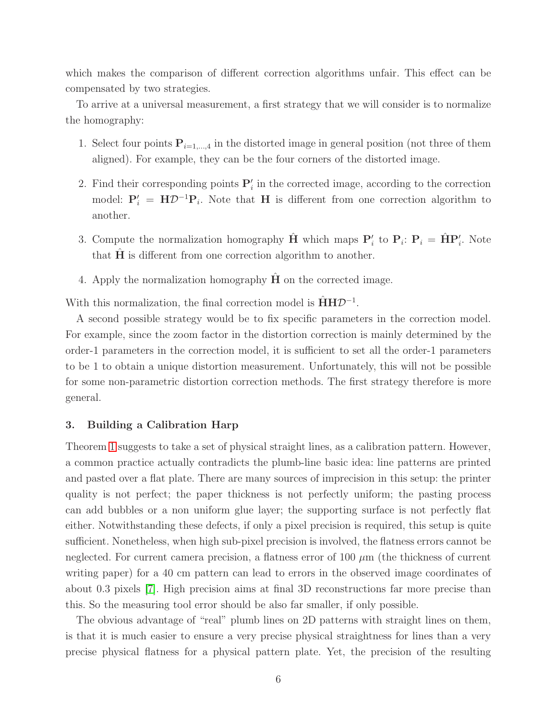which makes the comparison of different correction algorithms unfair. This effect can be compensated by two strategies.

To arrive at a universal measurement, a first strategy that we will consider is to normalize the homography:

- 1. Select four points  $P_{i=1,\dots,4}$  in the distorted image in general position (not three of them aligned). For example, they can be the four corners of the distorted image.
- 2. Find their corresponding points  $P'_i$  in the corrected image, according to the correction model:  $P'_i = H \mathcal{D}^{-1} P_i$ . Note that H is different from one correction algorithm to another.
- 3. Compute the normalization homography  $\hat{H}$  which maps  $P'_i$  to  $P_i$ :  $P_i = \hat{H}P'_i$ . Note that  $H$  is different from one correction algorithm to another.
- 4. Apply the normalization homography  $H$  on the corrected image.

With this normalization, the final correction model is  $\hat{H}H\mathcal{D}^{-1}$ .

A second possible strategy would be to fix specific parameters in the correction model. For example, since the zoom factor in the distortion correction is mainly determined by the order-1 parameters in the correction model, it is sufficient to set all the order-1 parameters to be 1 to obtain a unique distortion measurement. Unfortunately, this will not be possible for some non-parametric distortion correction methods. The first strategy therefore is more general.

# <span id="page-5-0"></span>3. Building a Calibration Harp

Theorem [1](#page-4-1) suggests to take a set of physical straight lines, as a calibration pattern. However, a common practice actually contradicts the plumb-line basic idea: line patterns are printed and pasted over a flat plate. There are many sources of imprecision in this setup: the printer quality is not perfect; the paper thickness is not perfectly uniform; the pasting process can add bubbles or a non uniform glue layer; the supporting surface is not perfectly flat either. Notwithstanding these defects, if only a pixel precision is required, this setup is quite sufficient. Nonetheless, when high sub-pixel precision is involved, the flatness errors cannot be neglected. For current camera precision, a flatness error of  $100 \mu m$  (the thickness of current writing paper) for a 40 cm pattern can lead to errors in the observed image coordinates of about 0.3 pixels [\[7\]](#page-21-3). High precision aims at final 3D reconstructions far more precise than this. So the measuring tool error should be also far smaller, if only possible.

The obvious advantage of "real" plumb lines on 2D patterns with straight lines on them, is that it is much easier to ensure a very precise physical straightness for lines than a very precise physical flatness for a physical pattern plate. Yet, the precision of the resulting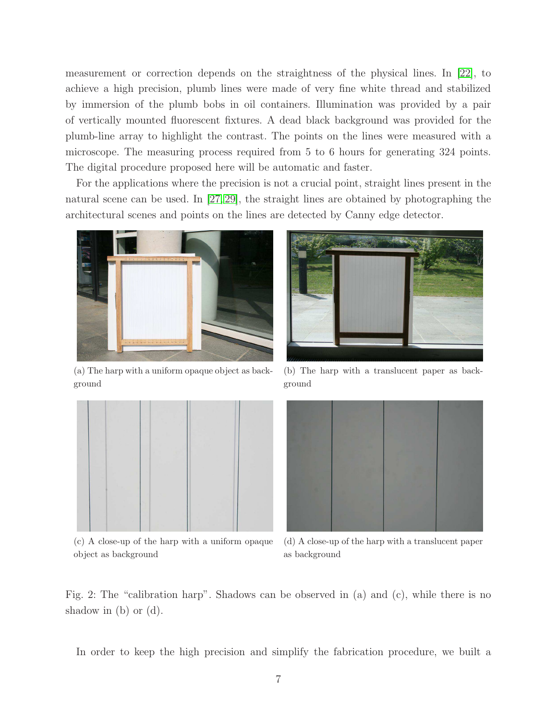measurement or correction depends on the straightness of the physical lines. In [\[22\]](#page-22-2), to achieve a high precision, plumb lines were made of very fine white thread and stabilized by immersion of the plumb bobs in oil containers. Illumination was provided by a pair of vertically mounted fluorescent fixtures. A dead black background was provided for the plumb-line array to highlight the contrast. The points on the lines were measured with a microscope. The measuring process required from 5 to 6 hours for generating 324 points. The digital procedure proposed here will be automatic and faster.

For the applications where the precision is not a crucial point, straight lines present in the natural scene can be used. In [\[27,](#page-22-6) [29\]](#page-22-8), the straight lines are obtained by photographing the architectural scenes and points on the lines are detected by Canny edge detector.

<span id="page-6-1"></span><span id="page-6-0"></span>

(a) The harp with a uniform opaque object as background



(b) The harp with a translucent paper as background

<span id="page-6-2"></span>

(c) A close-up of the harp with a uniform opaque object as background

<span id="page-6-4"></span><span id="page-6-3"></span>

(d) A close-up of the harp with a translucent paper as background

Fig. 2: The "calibration harp". Shadows can be observed in (a) and (c), while there is no shadow in (b) or (d).

In order to keep the high precision and simplify the fabrication procedure, we built a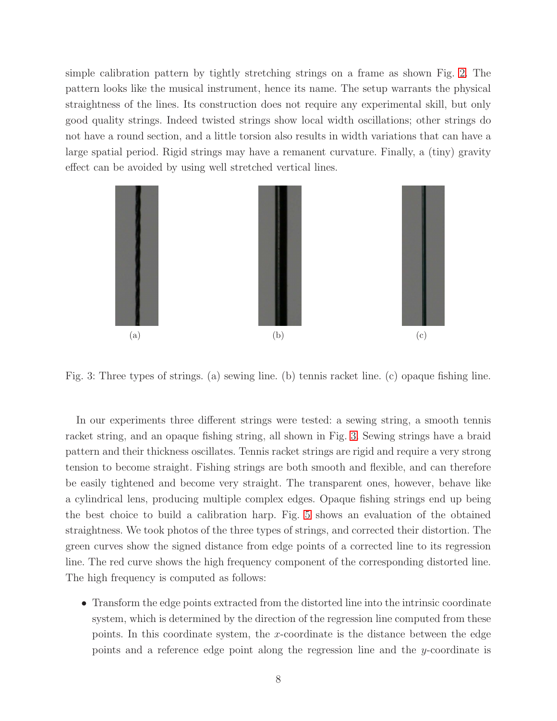simple calibration pattern by tightly stretching strings on a frame as shown Fig. [2.](#page-6-0) The pattern looks like the musical instrument, hence its name. The setup warrants the physical straightness of the lines. Its construction does not require any experimental skill, but only good quality strings. Indeed twisted strings show local width oscillations; other strings do not have a round section, and a little torsion also results in width variations that can have a large spatial period. Rigid strings may have a remanent curvature. Finally, a (tiny) gravity effect can be avoided by using well stretched vertical lines.

<span id="page-7-0"></span>

<span id="page-7-1"></span>Fig. 3: Three types of strings. (a) sewing line. (b) tennis racket line. (c) opaque fishing line.

In our experiments three different strings were tested: a sewing string, a smooth tennis racket string, and an opaque fishing string, all shown in Fig. [3.](#page-7-0) Sewing strings have a braid pattern and their thickness oscillates. Tennis racket strings are rigid and require a very strong tension to become straight. Fishing strings are both smooth and flexible, and can therefore be easily tightened and become very straight. The transparent ones, however, behave like a cylindrical lens, producing multiple complex edges. Opaque fishing strings end up being the best choice to build a calibration harp. Fig. [5](#page-9-1) shows an evaluation of the obtained straightness. We took photos of the three types of strings, and corrected their distortion. The green curves show the signed distance from edge points of a corrected line to its regression line. The red curve shows the high frequency component of the corresponding distorted line. The high frequency is computed as follows:

• Transform the edge points extracted from the distorted line into the intrinsic coordinate system, which is determined by the direction of the regression line computed from these points. In this coordinate system, the  $x$ -coordinate is the distance between the edge points and a reference edge point along the regression line and the y-coordinate is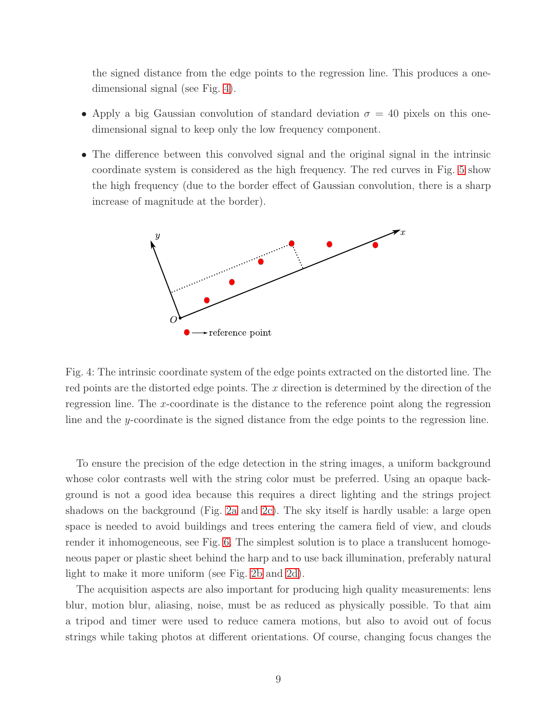the signed distance from the edge points to the regression line. This produces a onedimensional signal (see Fig. [4\)](#page-8-0).

- Apply a big Gaussian convolution of standard deviation  $\sigma = 40$  pixels on this onedimensional signal to keep only the low frequency component.
- <span id="page-8-0"></span>• The difference between this convolved signal and the original signal in the intrinsic coordinate system is considered as the high frequency. The red curves in Fig. [5](#page-9-1) show the high frequency (due to the border effect of Gaussian convolution, there is a sharp increase of magnitude at the border).



Fig. 4: The intrinsic coordinate system of the edge points extracted on the distorted line. The red points are the distorted edge points. The  $x$  direction is determined by the direction of the regression line. The x-coordinate is the distance to the reference point along the regression line and the y-coordinate is the signed distance from the edge points to the regression line.

To ensure the precision of the edge detection in the string images, a uniform background whose color contrasts well with the string color must be preferred. Using an opaque background is not a good idea because this requires a direct lighting and the strings project shadows on the background (Fig. [2a](#page-6-1) and [2c\)](#page-6-2). The sky itself is hardly usable: a large open space is needed to avoid buildings and trees entering the camera field of view, and clouds render it inhomogeneous, see Fig. [6.](#page-10-0) The simplest solution is to place a translucent homogeneous paper or plastic sheet behind the harp and to use back illumination, preferably natural light to make it more uniform (see Fig. [2b](#page-6-3) and [2d\)](#page-6-4).

The acquisition aspects are also important for producing high quality measurements: lens blur, motion blur, aliasing, noise, must be as reduced as physically possible. To that aim a tripod and timer were used to reduce camera motions, but also to avoid out of focus strings while taking photos at different orientations. Of course, changing focus changes the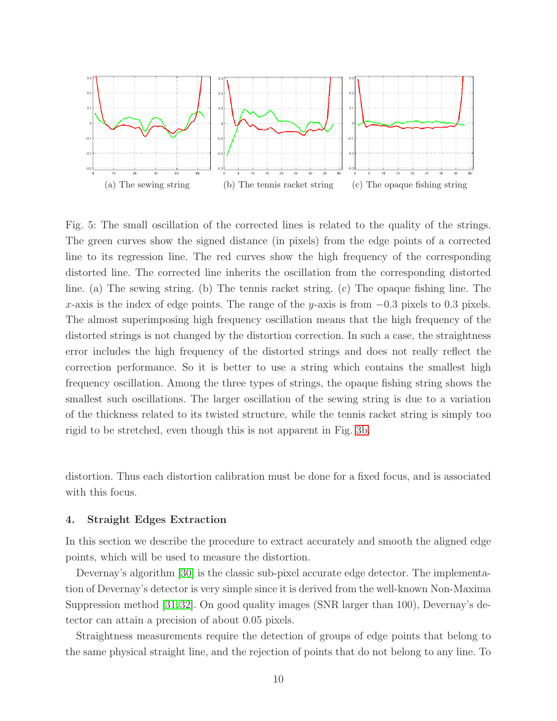<span id="page-9-1"></span>

Fig. 5: The small oscillation of the corrected lines is related to the quality of the strings. The green curves show the signed distance (in pixels) from the edge points of a corrected line to its regression line. The red curves show the high frequency of the corresponding distorted line. The corrected line inherits the oscillation from the corresponding distorted line. (a) The sewing string. (b) The tennis racket string. (c) The opaque fishing line. The x-axis is the index of edge points. The range of the y-axis is from  $-0.3$  pixels to 0.3 pixels. The almost superimposing high frequency oscillation means that the high frequency of the distorted strings is not changed by the distortion correction. In such a case, the straightness error includes the high frequency of the distorted strings and does not really reflect the correction performance. So it is better to use a string which contains the smallest high frequency oscillation. Among the three types of strings, the opaque fishing string shows the smallest such oscillations. The larger oscillation of the sewing string is due to a variation of the thickness related to its twisted structure, while the tennis racket string is simply too rigid to be stretched, even though this is not apparent in Fig. [3b.](#page-7-1)

distortion. Thus each distortion calibration must be done for a fixed focus, and is associated with this focus.

#### <span id="page-9-0"></span>4. Straight Edges Extraction

In this section we describe the procedure to extract accurately and smooth the aligned edge points, which will be used to measure the distortion.

Devernay's algorithm [\[30\]](#page-22-9) is the classic sub-pixel accurate edge detector. The implementation of Devernay's detector is very simple since it is derived from the well-known Non-Maxima Suppression method [\[31,](#page-22-10)[32\]](#page-22-11). On good quality images (SNR larger than 100), Devernay's detector can attain a precision of about 0.05 pixels.

Straightness measurements require the detection of groups of edge points that belong to the same physical straight line, and the rejection of points that do not belong to any line. To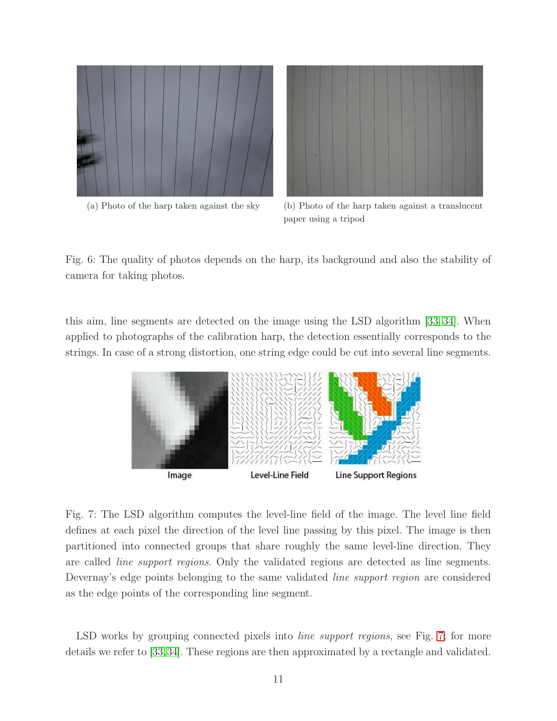<span id="page-10-0"></span>



(a) Photo of the harp taken against the sky (b) Photo of the harp taken against a translucent paper using a tripod

Fig. 6: The quality of photos depends on the harp, its background and also the stability of camera for taking photos.

<span id="page-10-1"></span>this aim, line segments are detected on the image using the LSD algorithm [\[33,](#page-22-12) [34\]](#page-22-13). When applied to photographs of the calibration harp, the detection essentially corresponds to the strings. In case of a strong distortion, one string edge could be cut into several line segments.



Fig. 7: The LSD algorithm computes the level-line field of the image. The level line field defines at each pixel the direction of the level line passing by this pixel. The image is then partitioned into connected groups that share roughly the same level-line direction. They are called *line support regions*. Only the validated regions are detected as line segments. Devernay's edge points belonging to the same validated *line support region* are considered as the edge points of the corresponding line segment.

LSD works by grouping connected pixels into *line support regions*, see Fig. [7;](#page-10-1) for more details we refer to [\[33](#page-22-12)[,34\]](#page-22-13). These regions are then approximated by a rectangle and validated.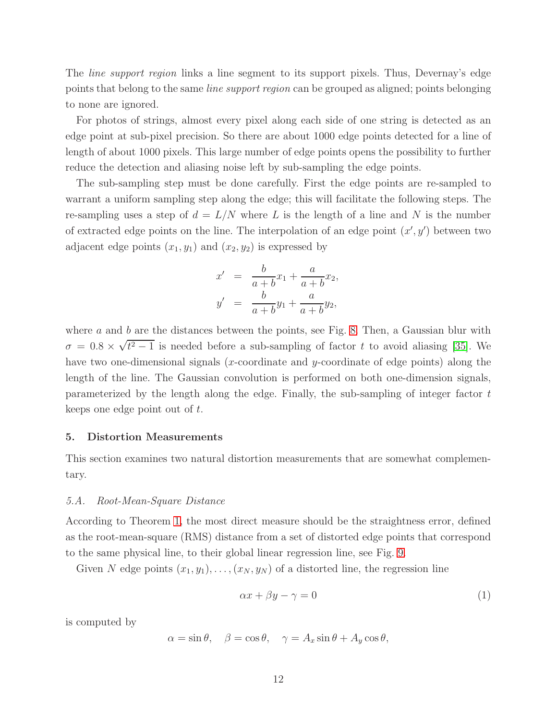The *line support region* links a line segment to its support pixels. Thus, Devernay's edge points that belong to the same *line support region* can be grouped as aligned; points belonging to none are ignored.

For photos of strings, almost every pixel along each side of one string is detected as an edge point at sub-pixel precision. So there are about 1000 edge points detected for a line of length of about 1000 pixels. This large number of edge points opens the possibility to further reduce the detection and aliasing noise left by sub-sampling the edge points.

The sub-sampling step must be done carefully. First the edge points are re-sampled to warrant a uniform sampling step along the edge; this will facilitate the following steps. The re-sampling uses a step of  $d = L/N$  where L is the length of a line and N is the number of extracted edge points on the line. The interpolation of an edge point  $(x', y')$  between two adjacent edge points  $(x_1, y_1)$  and  $(x_2, y_2)$  is expressed by

$$
x' = \frac{b}{a+b}x_1 + \frac{a}{a+b}x_2,
$$
  

$$
y' = \frac{b}{a+b}y_1 + \frac{a}{a+b}y_2,
$$

where  $a$  and  $b$  are the distances between the points, see Fig. [8.](#page-12-0) Then, a Gaussian blur with  $\sigma = 0.8 \times \sqrt{t^2 - 1}$  is needed before a sub-sampling of factor t to avoid aliasing [\[35\]](#page-23-0). We have two one-dimensional signals  $(x$ -coordinate and  $y$ -coordinate of edge points) along the length of the line. The Gaussian convolution is performed on both one-dimension signals, parameterized by the length along the edge. Finally, the sub-sampling of integer factor t keeps one edge point out of t.

#### <span id="page-11-0"></span>5. Distortion Measurements

This section examines two natural distortion measurements that are somewhat complementary.

## *5.A. Root-Mean-Square Distance*

According to Theorem [1,](#page-4-1) the most direct measure should be the straightness error, defined as the root-mean-square (RMS) distance from a set of distorted edge points that correspond to the same physical line, to their global linear regression line, see Fig. [9.](#page-12-1)

Given N edge points  $(x_1, y_1), \ldots, (x_N, y_N)$  of a distorted line, the regression line

$$
\alpha x + \beta y - \gamma = 0 \tag{1}
$$

is computed by

$$
\alpha = \sin \theta, \quad \beta = \cos \theta, \quad \gamma = A_x \sin \theta + A_y \cos \theta,
$$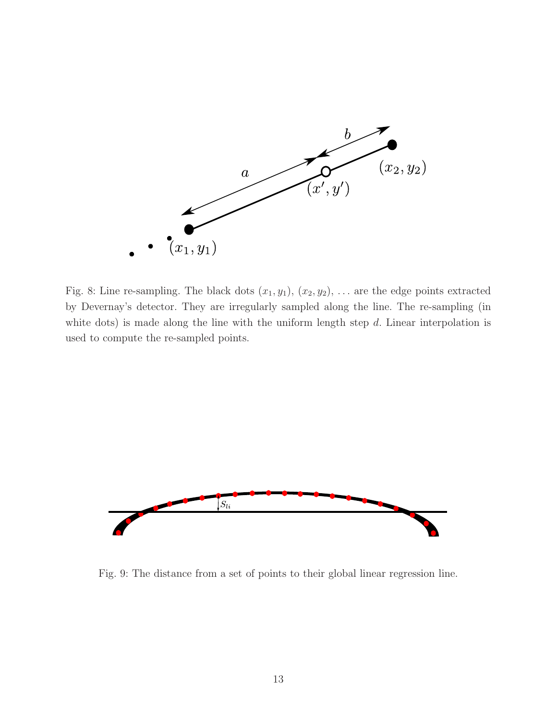<span id="page-12-0"></span>

Fig. 8: Line re-sampling. The black dots  $(x_1, y_1)$ ,  $(x_2, y_2)$ , ... are the edge points extracted by Devernay's detector. They are irregularly sampled along the line. The re-sampling (in white dots) is made along the line with the uniform length step  $d$ . Linear interpolation is used to compute the re-sampled points.

<span id="page-12-1"></span>

Fig. 9: The distance from a set of points to their global linear regression line.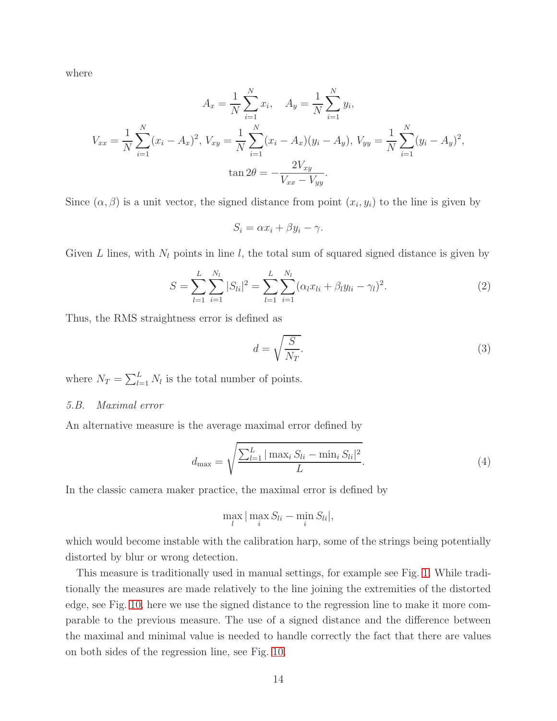where

$$
A_x = \frac{1}{N} \sum_{i=1}^{N} x_i, \quad A_y = \frac{1}{N} \sum_{i=1}^{N} y_i,
$$
  

$$
V_{xx} = \frac{1}{N} \sum_{i=1}^{N} (x_i - A_x)^2, \quad V_{xy} = \frac{1}{N} \sum_{i=1}^{N} (x_i - A_x)(y_i - A_y), \quad V_{yy} = \frac{1}{N} \sum_{i=1}^{N} (y_i - A_y)^2,
$$
  

$$
\tan 2\theta = -\frac{2V_{xy}}{V_{xx} - V_{yy}}.
$$

Since  $(\alpha, \beta)$  is a unit vector, the signed distance from point  $(x_i, y_i)$  to the line is given by

$$
S_i = \alpha x_i + \beta y_i - \gamma.
$$

Given L lines, with  $N_l$  points in line l, the total sum of squared signed distance is given by

$$
S = \sum_{l=1}^{L} \sum_{i=1}^{N_l} |S_{li}|^2 = \sum_{l=1}^{L} \sum_{i=1}^{N_l} (\alpha_l x_{li} + \beta_l y_{li} - \gamma_l)^2.
$$
 (2)

Thus, the RMS straightness error is defined as

$$
d = \sqrt{\frac{S}{N_T}}.\tag{3}
$$

where  $N_T = \sum_{l=1}^{L} N_l$  is the total number of points.

## *5.B. Maximal error*

An alternative measure is the average maximal error defined by

$$
d_{\max} = \sqrt{\frac{\sum_{l=1}^{L} |\max_{i} S_{li} - \min_{i} S_{li}|^2}{L}}.
$$
\n(4)

In the classic camera maker practice, the maximal error is defined by

$$
\max_{l} |\max_{i} S_{li} - \min_{i} S_{li}|,
$$

which would become instable with the calibration harp, some of the strings being potentially distorted by blur or wrong detection.

This measure is traditionally used in manual settings, for example see Fig. [1.](#page-2-0) While traditionally the measures are made relatively to the line joining the extremities of the distorted edge, see Fig. [10,](#page-14-1) here we use the signed distance to the regression line to make it more comparable to the previous measure. The use of a signed distance and the difference between the maximal and minimal value is needed to handle correctly the fact that there are values on both sides of the regression line, see Fig. [10.](#page-14-1)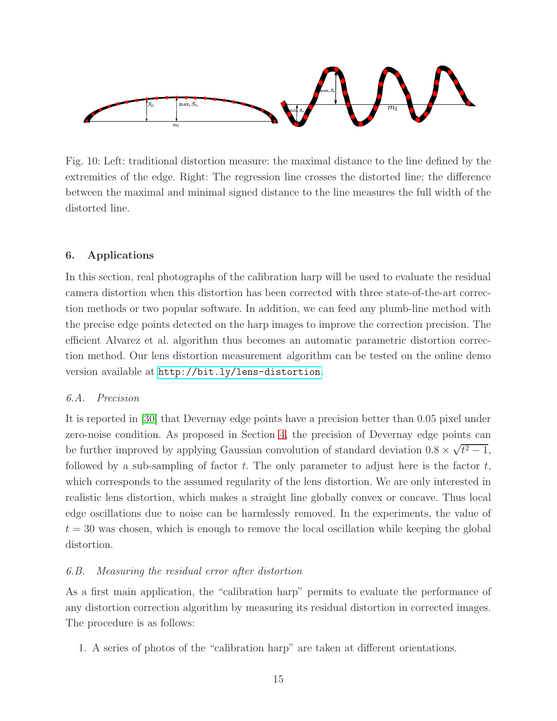<span id="page-14-1"></span>

Fig. 10: Left: traditional distortion measure: the maximal distance to the line defined by the extremities of the edge. Right: The regression line crosses the distorted line; the difference between the maximal and minimal signed distance to the line measures the full width of the distorted line.

# <span id="page-14-0"></span>6. Applications

In this section, real photographs of the calibration harp will be used to evaluate the residual camera distortion when this distortion has been corrected with three state-of-the-art correction methods or two popular software. In addition, we can feed any plumb-line method with the precise edge points detected on the harp images to improve the correction precision. The efficient Alvarez et al. algorithm thus becomes an automatic parametric distortion correction method. Our lens distortion measurement algorithm can be tested on the online demo version available at <http://bit.ly/lens-distortion>.

## *6.A. Precision*

It is reported in [\[30\]](#page-22-9) that Devernay edge points have a precision better than 0.05 pixel under zero-noise condition. As proposed in Section [4,](#page-9-0) the precision of Devernay edge points can be further improved by applying Gaussian convolution of standard deviation  $0.8 \times \sqrt{t^2 - 1}$ , followed by a sub-sampling of factor  $t$ . The only parameter to adjust here is the factor  $t$ , which corresponds to the assumed regularity of the lens distortion. We are only interested in realistic lens distortion, which makes a straight line globally convex or concave. Thus local edge oscillations due to noise can be harmlessly removed. In the experiments, the value of  $t = 30$  was chosen, which is enough to remove the local oscillation while keeping the global distortion.

# *6.B. Measuring the residual error after distortion*

As a first main application, the "calibration harp" permits to evaluate the performance of any distortion correction algorithm by measuring its residual distortion in corrected images. The procedure is as follows:

1. A series of photos of the "calibration harp" are taken at different orientations.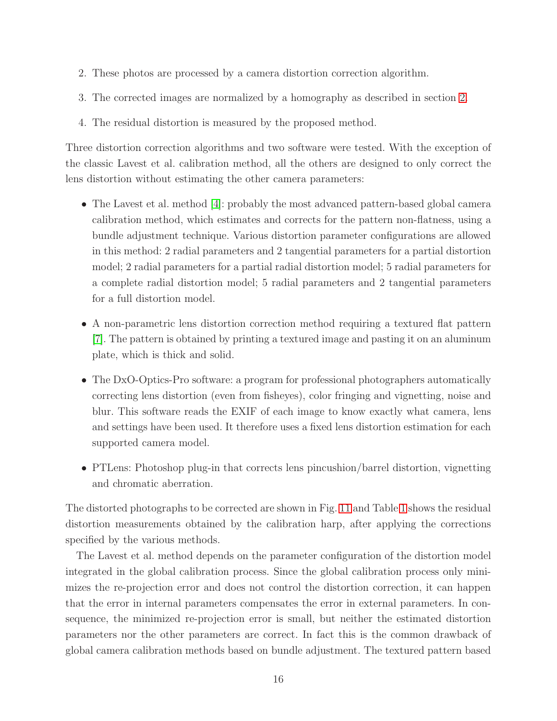- 2. These photos are processed by a camera distortion correction algorithm.
- 3. The corrected images are normalized by a homography as described in section [2.](#page-4-0)
- 4. The residual distortion is measured by the proposed method.

Three distortion correction algorithms and two software were tested. With the exception of the classic Lavest et al. calibration method, all the others are designed to only correct the lens distortion without estimating the other camera parameters:

- The Lavest et al. method [\[4\]](#page-21-7): probably the most advanced pattern-based global camera calibration method, which estimates and corrects for the pattern non-flatness, using a bundle adjustment technique. Various distortion parameter configurations are allowed in this method: 2 radial parameters and 2 tangential parameters for a partial distortion model; 2 radial parameters for a partial radial distortion model; 5 radial parameters for a complete radial distortion model; 5 radial parameters and 2 tangential parameters for a full distortion model.
- A non-parametric lens distortion correction method requiring a textured flat pattern [\[7\]](#page-21-3). The pattern is obtained by printing a textured image and pasting it on an aluminum plate, which is thick and solid.
- The DxO-Optics-Pro software: a program for professional photographers automatically correcting lens distortion (even from fisheyes), color fringing and vignetting, noise and blur. This software reads the EXIF of each image to know exactly what camera, lens and settings have been used. It therefore uses a fixed lens distortion estimation for each supported camera model.
- PTLens: Photoshop plug-in that corrects lens pincushion/barrel distortion, vignetting and chromatic aberration.

The distorted photographs to be corrected are shown in Fig. [11](#page-16-0) and Table [1](#page-16-1) shows the residual distortion measurements obtained by the calibration harp, after applying the corrections specified by the various methods.

The Lavest et al. method depends on the parameter configuration of the distortion model integrated in the global calibration process. Since the global calibration process only minimizes the re-projection error and does not control the distortion correction, it can happen that the error in internal parameters compensates the error in external parameters. In consequence, the minimized re-projection error is small, but neither the estimated distortion parameters nor the other parameters are correct. In fact this is the common drawback of global camera calibration methods based on bundle adjustment. The textured pattern based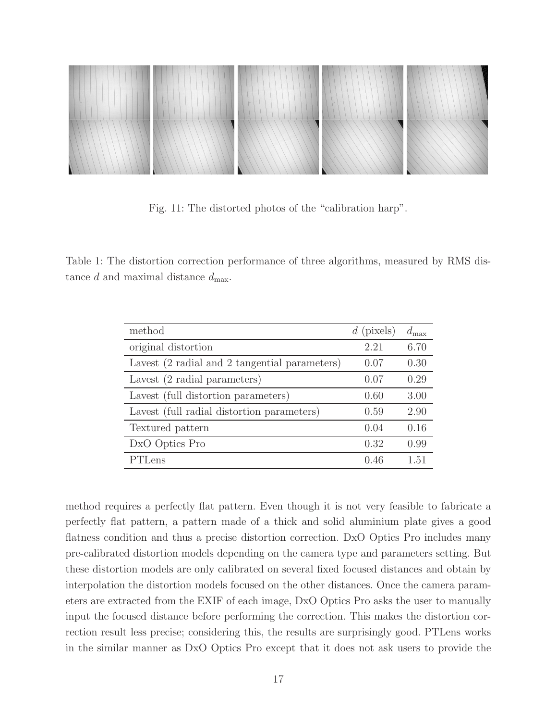<span id="page-16-0"></span>

Fig. 11: The distorted photos of the "calibration harp".

<span id="page-16-1"></span>Table 1: The distortion correction performance of three algorithms, measured by RMS distance d and maximal distance  $d_{\text{max}}$ .

| method                                        | $d$ (pixels) | $d_{\max}$ |
|-----------------------------------------------|--------------|------------|
| original distortion                           | 2.21         | 6.70       |
| Lavest (2 radial and 2 tangential parameters) | 0.07         | 0.30       |
| Lavest (2 radial parameters)                  | 0.07         | 0.29       |
| Lavest (full distortion parameters)           | 0.60         | 3.00       |
| Lavest (full radial distortion parameters)    | 0.59         | 2.90       |
| Textured pattern                              | 0.04         | 0.16       |
| DxO Optics Pro                                | 0.32         | 0.99       |
| PTLens                                        | 0.46         | 1.51       |

method requires a perfectly flat pattern. Even though it is not very feasible to fabricate a perfectly flat pattern, a pattern made of a thick and solid aluminium plate gives a good flatness condition and thus a precise distortion correction. DxO Optics Pro includes many pre-calibrated distortion models depending on the camera type and parameters setting. But these distortion models are only calibrated on several fixed focused distances and obtain by interpolation the distortion models focused on the other distances. Once the camera parameters are extracted from the EXIF of each image, DxO Optics Pro asks the user to manually input the focused distance before performing the correction. This makes the distortion correction result less precise; considering this, the results are surprisingly good. PTLens works in the similar manner as DxO Optics Pro except that it does not ask users to provide the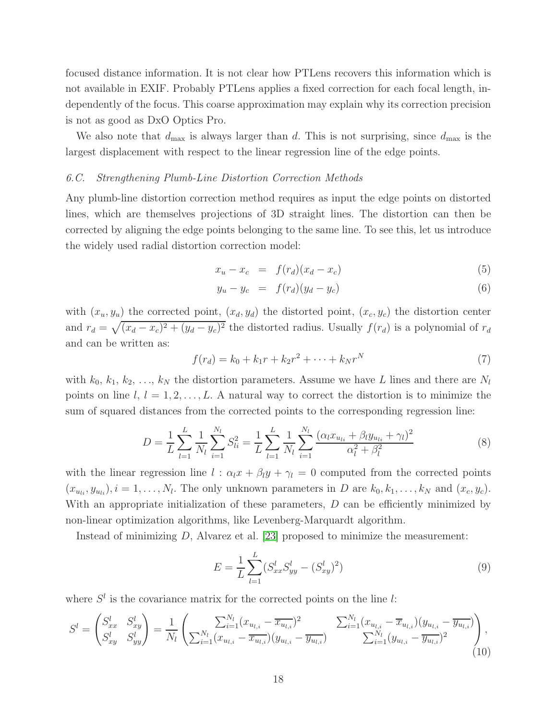focused distance information. It is not clear how PTLens recovers this information which is not available in EXIF. Probably PTLens applies a fixed correction for each focal length, independently of the focus. This coarse approximation may explain why its correction precision is not as good as DxO Optics Pro.

We also note that  $d_{\text{max}}$  is always larger than d. This is not surprising, since  $d_{\text{max}}$  is the largest displacement with respect to the linear regression line of the edge points.

# *6.C. Strengthening Plumb-Line Distortion Correction Methods*

Any plumb-line distortion correction method requires as input the edge points on distorted lines, which are themselves projections of 3D straight lines. The distortion can then be corrected by aligning the edge points belonging to the same line. To see this, let us introduce the widely used radial distortion correction model:

$$
x_u - x_c = f(r_d)(x_d - x_c)
$$
 (5)

$$
y_u - y_c = f(r_d)(y_d - y_c)
$$
 (6)

with  $(x_u, y_u)$  the corrected point,  $(x_d, y_d)$  the distorted point,  $(x_c, y_c)$  the distortion center and  $r_d = \sqrt{(x_d - x_c)^2 + (y_d - y_c)^2}$  the distorted radius. Usually  $f(r_d)$  is a polynomial of  $r_d$ and can be written as:

$$
f(r_d) = k_0 + k_1 r + k_2 r^2 + \dots + k_N r^N
$$
 (7)

with  $k_0, k_1, k_2, \ldots, k_N$  the distortion parameters. Assume we have L lines and there are  $N_l$ points on line  $l, l = 1, 2, \ldots, L$ . A natural way to correct the distortion is to minimize the sum of squared distances from the corrected points to the corresponding regression line:

$$
D = \frac{1}{L} \sum_{l=1}^{L} \frac{1}{N_l} \sum_{i=1}^{N_l} S_{li}^2 = \frac{1}{L} \sum_{l=1}^{L} \frac{1}{N_l} \sum_{i=1}^{N_l} \frac{(\alpha_l x_{u_{li}} + \beta_l y_{u_{li}} + \gamma_l)^2}{\alpha_l^2 + \beta_l^2}
$$
(8)

with the linear regression line  $l : \alpha_l x + \beta_l y + \gamma_l = 0$  computed from the corrected points  $(x_{u_{li}}, y_{u_{li}}), i = 1, \ldots, N_l$ . The only unknown parameters in D are  $k_0, k_1, \ldots, k_N$  and  $(x_c, y_c)$ . With an appropriate initialization of these parameters, D can be efficiently minimized by non-linear optimization algorithms, like Levenberg-Marquardt algorithm.

Instead of minimizing D, Alvarez et al. [\[23\]](#page-22-3) proposed to minimize the measurement:

$$
E = \frac{1}{L} \sum_{l=1}^{L} (S_{xx}^l S_{yy}^l - (S_{xy}^l)^2)
$$
\n(9)

where  $S<sup>l</sup>$  is the covariance matrix for the corrected points on the line l:

$$
S^{l} = \begin{pmatrix} S_{xx}^{l} & S_{xy}^{l} \\ S_{xy}^{l} & S_{yy}^{l} \end{pmatrix} = \frac{1}{N_{l}} \begin{pmatrix} \sum_{i=1}^{N_{l}} (x_{u_{l,i}} - \overline{x_{u_{l,i}}})^{2} & \sum_{i=1}^{N_{l}} (x_{u_{l,i}} - \overline{x_{u_{l,i}}}) (y_{u_{l,i}} - \overline{y_{u_{l,i}}}) \\ \sum_{i=1}^{N_{l}} (y_{u_{l,i}} - \overline{y_{u_{l,i}}})^{2} & \sum_{i=1}^{N_{l}} (y_{u_{l,i}} - \overline{y_{u_{l,i}}})^{2} \end{pmatrix},
$$
\n(10)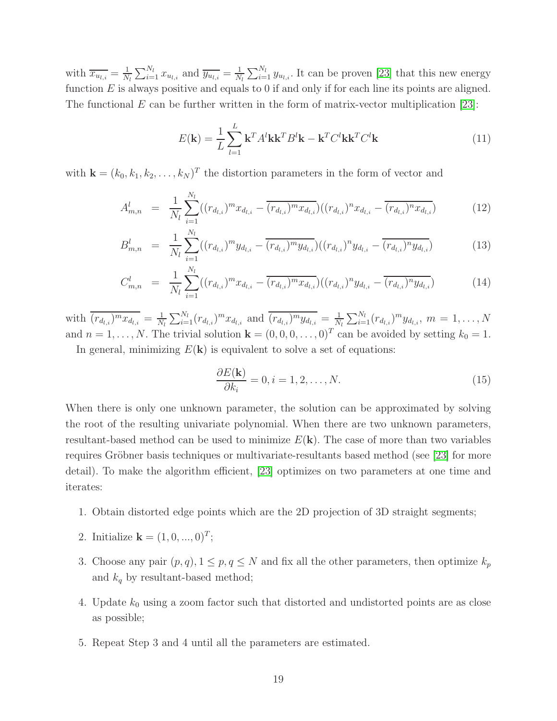with  $\overline{x_{u_{l,i}}} = \frac{1}{N}$  $\frac{1}{N_l} \sum_{i=1}^{N_l} x_{u_{l,i}}$  and  $\overline{y_{u_{l,i}}} = \frac{1}{N_l}$  $\frac{1}{N_l} \sum_{i=1}^{N_l} y_{u_{l,i}}$ . It can be proven [\[23\]](#page-22-3) that this new energy function  $E$  is always positive and equals to 0 if and only if for each line its points are aligned. The functional  $E$  can be further written in the form of matrix-vector multiplication [\[23\]](#page-22-3):

$$
E(\mathbf{k}) = \frac{1}{L} \sum_{l=1}^{L} \mathbf{k}^{T} A^{l} \mathbf{k} \mathbf{k}^{T} B^{l} \mathbf{k} - \mathbf{k}^{T} C^{l} \mathbf{k} \mathbf{k}^{T} C^{l} \mathbf{k}
$$
 (11)

with  $\mathbf{k} = (k_0, k_1, k_2, \dots, k_N)^T$  the distortion parameters in the form of vector and

$$
A_{m,n}^l = \frac{1}{N_l} \sum_{i=1}^{N_l} ((r_{d_{l,i}})^m x_{d_{l,i}} - \overline{(r_{d_{l,i}})^m x_{d_{l,i}}}) ((r_{d_{l,i}})^n x_{d_{l,i}} - \overline{(r_{d_{l,i}})^n x_{d_{l,i}}})
$$
(12)

$$
B_{m,n}^l = \frac{1}{N_l} \sum_{i=1}^{N_l} ((r_{d_{l,i}})^m y_{d_{l,i}} - \overline{(r_{d_{l,i}})^m y_{d_{l,i}}}) ((r_{d_{l,i}})^n y_{d_{l,i}} - \overline{(r_{d_{l,i}})^n y_{d_{l,i}}})
$$
(13)

$$
C_{m,n}^l = \frac{1}{N_l} \sum_{i=1}^{N_l} ((r_{d_{l,i}})^m x_{d_{l,i}} - \overline{(r_{d_{l,i}})^m x_{d_{l,i}}}) ((r_{d_{l,i}})^n y_{d_{l,i}} - \overline{(r_{d_{l,i}})^n y_{d_{l,i}}})
$$
(14)

with  $\overline{(r_{d_{l,i}})^m x_{d_{l,i}}} = \frac{1}{N}$  $\frac{1}{N_l} \sum_{i=1}^{N_l} (r_{d_{l,i}})^m x_{d_{l,i}}$  and  $\overline{(r_{d_{l,i}})^m y_{d_{l,i}}} = \frac{1}{N_l}$  $\frac{1}{N_l} \sum_{i=1}^{N_l} (r_{d_{l,i}})^m y_{d_{l,i}}, m = 1, \ldots, N$ and  $n = 1, ..., N$ . The trivial solution  $\mathbf{k} = (0, 0, 0, ..., 0)^T$  can be avoided by setting  $k_0 = 1$ .

In general, minimizing  $E(\mathbf{k})$  is equivalent to solve a set of equations:

$$
\frac{\partial E(\mathbf{k})}{\partial k_i} = 0, i = 1, 2, \dots, N.
$$
\n(15)

When there is only one unknown parameter, the solution can be approximated by solving the root of the resulting univariate polynomial. When there are two unknown parameters, resultant-based method can be used to minimize  $E(k)$ . The case of more than two variables requires Gröbner basis techniques or multivariate-resultants based method (see [\[23\]](#page-22-3) for more detail). To make the algorithm efficient, [\[23\]](#page-22-3) optimizes on two parameters at one time and iterates:

- 1. Obtain distorted edge points which are the 2D projection of 3D straight segments;
- 2. Initialize **k** =  $(1, 0, ..., 0)^T$ ;
- 3. Choose any pair  $(p, q)$ ,  $1 \leq p, q \leq N$  and fix all the other parameters, then optimize  $k_p$ and  $k_q$  by resultant-based method;
- 4. Update  $k_0$  using a zoom factor such that distorted and undistorted points are as close as possible;
- 5. Repeat Step 3 and 4 until all the parameters are estimated.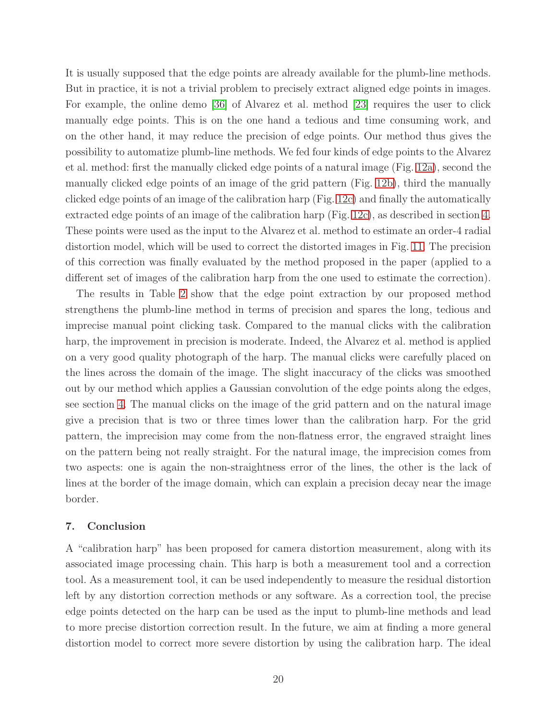It is usually supposed that the edge points are already available for the plumb-line methods. But in practice, it is not a trivial problem to precisely extract aligned edge points in images. For example, the online demo [\[36\]](#page-23-1) of Alvarez et al. method [\[23\]](#page-22-3) requires the user to click manually edge points. This is on the one hand a tedious and time consuming work, and on the other hand, it may reduce the precision of edge points. Our method thus gives the possibility to automatize plumb-line methods. We fed four kinds of edge points to the Alvarez et al. method: first the manually clicked edge points of a natural image (Fig. [12a\)](#page-20-0), second the manually clicked edge points of an image of the grid pattern (Fig. [12b\)](#page-20-1), third the manually clicked edge points of an image of the calibration harp (Fig. [12c\)](#page-20-2) and finally the automatically extracted edge points of an image of the calibration harp (Fig. [12c\)](#page-20-2), as described in section [4.](#page-9-0) These points were used as the input to the Alvarez et al. method to estimate an order-4 radial distortion model, which will be used to correct the distorted images in Fig. [11.](#page-16-0) The precision of this correction was finally evaluated by the method proposed in the paper (applied to a different set of images of the calibration harp from the one used to estimate the correction).

The results in Table [2](#page-20-3) show that the edge point extraction by our proposed method strengthens the plumb-line method in terms of precision and spares the long, tedious and imprecise manual point clicking task. Compared to the manual clicks with the calibration harp, the improvement in precision is moderate. Indeed, the Alvarez et al. method is applied on a very good quality photograph of the harp. The manual clicks were carefully placed on the lines across the domain of the image. The slight inaccuracy of the clicks was smoothed out by our method which applies a Gaussian convolution of the edge points along the edges, see section [4.](#page-9-0) The manual clicks on the image of the grid pattern and on the natural image give a precision that is two or three times lower than the calibration harp. For the grid pattern, the imprecision may come from the non-flatness error, the engraved straight lines on the pattern being not really straight. For the natural image, the imprecision comes from two aspects: one is again the non-straightness error of the lines, the other is the lack of lines at the border of the image domain, which can explain a precision decay near the image border.

## <span id="page-19-0"></span>7. Conclusion

A "calibration harp" has been proposed for camera distortion measurement, along with its associated image processing chain. This harp is both a measurement tool and a correction tool. As a measurement tool, it can be used independently to measure the residual distortion left by any distortion correction methods or any software. As a correction tool, the precise edge points detected on the harp can be used as the input to plumb-line methods and lead to more precise distortion correction result. In the future, we aim at finding a more general distortion model to correct more severe distortion by using the calibration harp. The ideal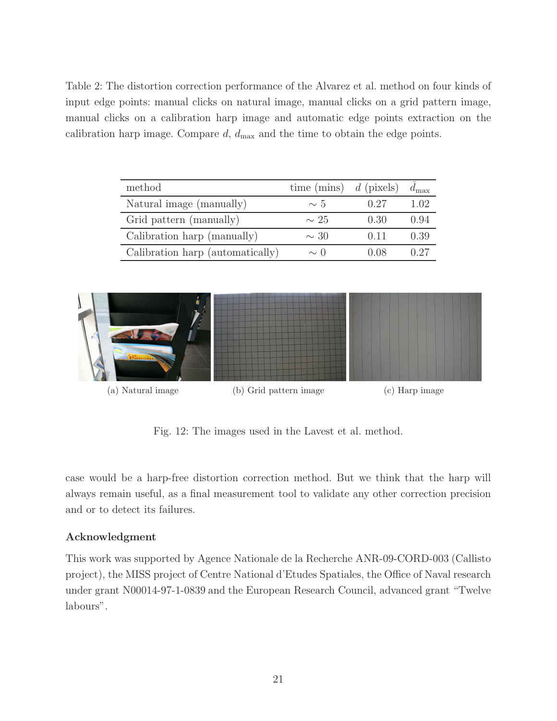<span id="page-20-3"></span>Table 2: The distortion correction performance of the Alvarez et al. method on four kinds of input edge points: manual clicks on natural image, manual clicks on a grid pattern image, manual clicks on a calibration harp image and automatic edge points extraction on the calibration harp image. Compare  $d$ ,  $d_{\text{max}}$  and the time to obtain the edge points.

| method                           | time (mins) $d$ (pixels) |                 | $d_{\text{max}}$ |
|----------------------------------|--------------------------|-----------------|------------------|
| Natural image (manually)         | $\sim 5$                 | 0.27            | 1.02             |
| Grid pattern (manually)          | $\sim 25$                | 0.30            | 0.94             |
| Calibration harp (manually)      | $\sim$ 30                | $(1 \; 1 \; 1)$ | 0.39             |
| Calibration harp (automatically) | $\sim$ ()                | - 1 I X         |                  |

<span id="page-20-0"></span>

<span id="page-20-2"></span><span id="page-20-1"></span>Fig. 12: The images used in the Lavest et al. method.

case would be a harp-free distortion correction method. But we think that the harp will always remain useful, as a final measurement tool to validate any other correction precision and or to detect its failures.

# Acknowledgment

This work was supported by Agence Nationale de la Recherche ANR-09-CORD-003 (Callisto project), the MISS project of Centre National d'Etudes Spatiales, the Office of Naval research under grant N00014-97-1-0839 and the European Research Council, advanced grant "Twelve labours".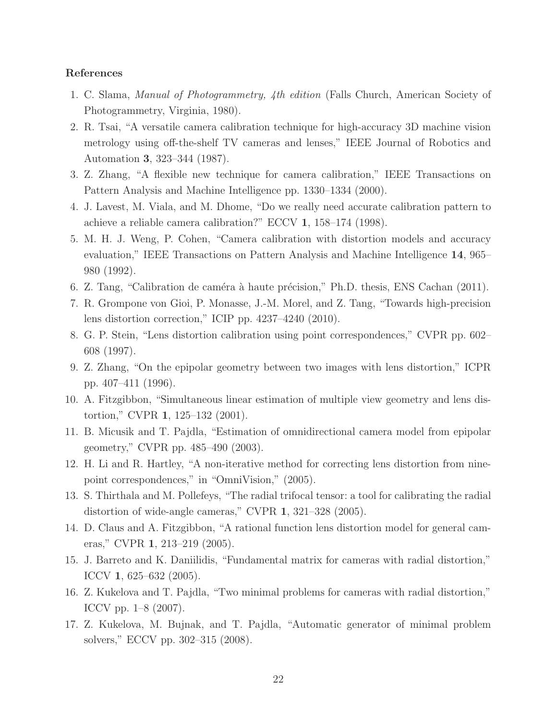# <span id="page-21-0"></span>References

- 1. C. Slama, *Manual of Photogrammetry, 4th edition* (Falls Church, American Society of Photogrammetry, Virginia, 1980).
- 2. R. Tsai, "A versatile camera calibration technique for high-accuracy 3D machine vision metrology using off-the-shelf TV cameras and lenses," IEEE Journal of Robotics and Automation 3, 323–344 (1987).
- <span id="page-21-7"></span>3. Z. Zhang, "A flexible new technique for camera calibration," IEEE Transactions on Pattern Analysis and Machine Intelligence pp. 1330–1334 (2000).
- <span id="page-21-1"></span>4. J. Lavest, M. Viala, and M. Dhome, "Do we really need accurate calibration pattern to achieve a reliable camera calibration?" ECCV 1, 158–174 (1998).
- 5. M. H. J. Weng, P. Cohen, "Camera calibration with distortion models and accuracy evaluation," IEEE Transactions on Pattern Analysis and Machine Intelligence 14, 965– 980 (1992).
- <span id="page-21-3"></span><span id="page-21-2"></span>6. Z. Tang, "Calibration de caméra à haute précision," Ph.D. thesis, ENS Cachan  $(2011)$ .
- <span id="page-21-4"></span>7. R. Grompone von Gioi, P. Monasse, J.-M. Morel, and Z. Tang, "Towards high-precision lens distortion correction," ICIP pp. 4237–4240 (2010).
- <span id="page-21-5"></span>8. G. P. Stein, "Lens distortion calibration using point correspondences," CVPR pp. 602– 608 (1997).
- <span id="page-21-6"></span>9. Z. Zhang, "On the epipolar geometry between two images with lens distortion," ICPR pp. 407–411 (1996).
- 10. A. Fitzgibbon, "Simultaneous linear estimation of multiple view geometry and lens distortion," CVPR 1, 125–132 (2001).
- 11. B. Micusik and T. Pajdla, "Estimation of omnidirectional camera model from epipolar geometry," CVPR pp. 485–490 (2003).
- 12. H. Li and R. Hartley, "A non-iterative method for correcting lens distortion from ninepoint correspondences," in "OmniVision," (2005).
- 13. S. Thirthala and M. Pollefeys, "The radial trifocal tensor: a tool for calibrating the radial distortion of wide-angle cameras," CVPR 1, 321–328 (2005).
- 14. D. Claus and A. Fitzgibbon, "A rational function lens distortion model for general cameras," CVPR 1, 213–219 (2005).
- 15. J. Barreto and K. Daniilidis, "Fundamental matrix for cameras with radial distortion," ICCV 1, 625–632 (2005).
- 16. Z. Kukelova and T. Pajdla, "Two minimal problems for cameras with radial distortion," ICCV pp. 1–8 (2007).
- 17. Z. Kukelova, M. Bujnak, and T. Pajdla, "Automatic generator of minimal problem solvers," ECCV pp. 302–315 (2008).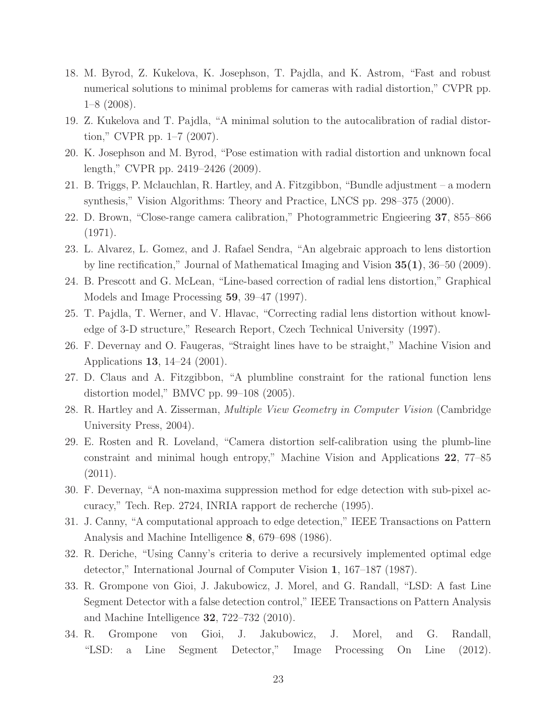- 18. M. Byrod, Z. Kukelova, K. Josephson, T. Pajdla, and K. Astrom, "Fast and robust numerical solutions to minimal problems for cameras with radial distortion," CVPR pp. 1–8 (2008).
- <span id="page-22-0"></span>19. Z. Kukelova and T. Pajdla, "A minimal solution to the autocalibration of radial distortion," CVPR pp. 1–7 (2007).
- <span id="page-22-1"></span>20. K. Josephson and M. Byrod, "Pose estimation with radial distortion and unknown focal length," CVPR pp. 2419–2426 (2009).
- <span id="page-22-2"></span>21. B. Triggs, P. Mclauchlan, R. Hartley, and A. Fitzgibbon, "Bundle adjustment – a modern synthesis," Vision Algorithms: Theory and Practice, LNCS pp. 298–375 (2000).
- <span id="page-22-3"></span>22. D. Brown, "Close-range camera calibration," Photogrammetric Engieering 37, 855–866 (1971).
- 23. L. Alvarez, L. Gomez, and J. Rafael Sendra, "An algebraic approach to lens distortion by line rectification," Journal of Mathematical Imaging and Vision 35(1), 36–50 (2009).
- <span id="page-22-4"></span>24. B. Prescott and G. McLean, "Line-based correction of radial lens distortion," Graphical Models and Image Processing 59, 39–47 (1997).
- <span id="page-22-5"></span>25. T. Pajdla, T. Werner, and V. Hlavac, "Correcting radial lens distortion without knowledge of 3-D structure," Research Report, Czech Technical University (1997).
- <span id="page-22-6"></span>26. F. Devernay and O. Faugeras, "Straight lines have to be straight," Machine Vision and Applications 13, 14–24 (2001).
- <span id="page-22-7"></span>27. D. Claus and A. Fitzgibbon, "A plumbline constraint for the rational function lens distortion model," BMVC pp. 99–108 (2005).
- <span id="page-22-8"></span>28. R. Hartley and A. Zisserman, *Multiple View Geometry in Computer Vision* (Cambridge University Press, 2004).
- 29. E. Rosten and R. Loveland, "Camera distortion self-calibration using the plumb-line constraint and minimal hough entropy," Machine Vision and Applications 22, 77–85 (2011).
- <span id="page-22-10"></span><span id="page-22-9"></span>30. F. Devernay, "A non-maxima suppression method for edge detection with sub-pixel accuracy," Tech. Rep. 2724, INRIA rapport de recherche (1995).
- <span id="page-22-11"></span>31. J. Canny, "A computational approach to edge detection," IEEE Transactions on Pattern Analysis and Machine Intelligence 8, 679–698 (1986).
- <span id="page-22-12"></span>32. R. Deriche, "Using Canny's criteria to derive a recursively implemented optimal edge detector," International Journal of Computer Vision 1, 167–187 (1987).
- 33. R. Grompone von Gioi, J. Jakubowicz, J. Morel, and G. Randall, "LSD: A fast Line Segment Detector with a false detection control," IEEE Transactions on Pattern Analysis and Machine Intelligence 32, 722–732 (2010).
- <span id="page-22-13"></span>34. R. Grompone von Gioi, J. Jakubowicz, J. Morel, and G. Randall, "LSD: a Line Segment Detector," Image Processing On Line (2012).